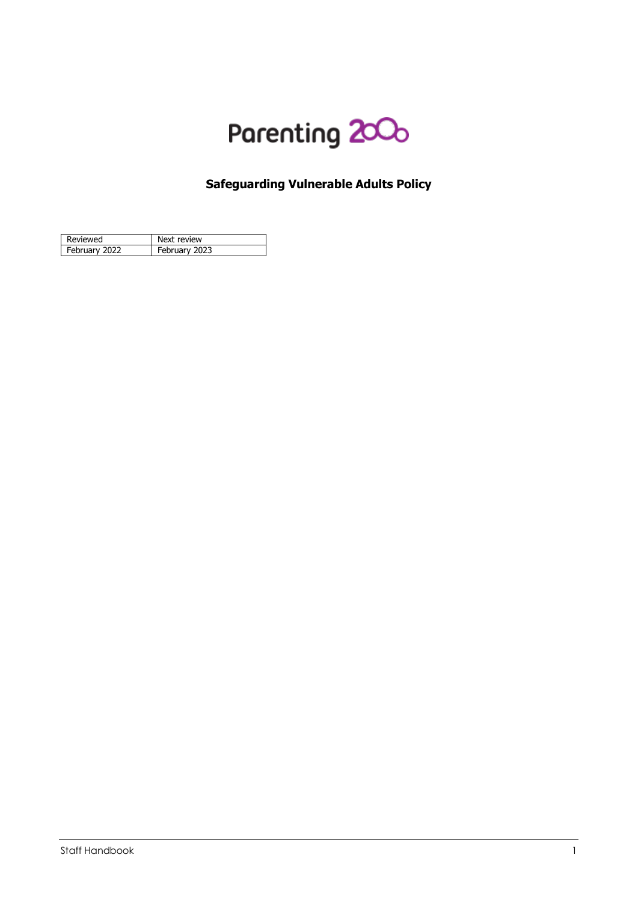

# **Safeguarding Vulnerable Adults Policy**

| Reviewed      | Next review   |
|---------------|---------------|
| February 2022 | February 2023 |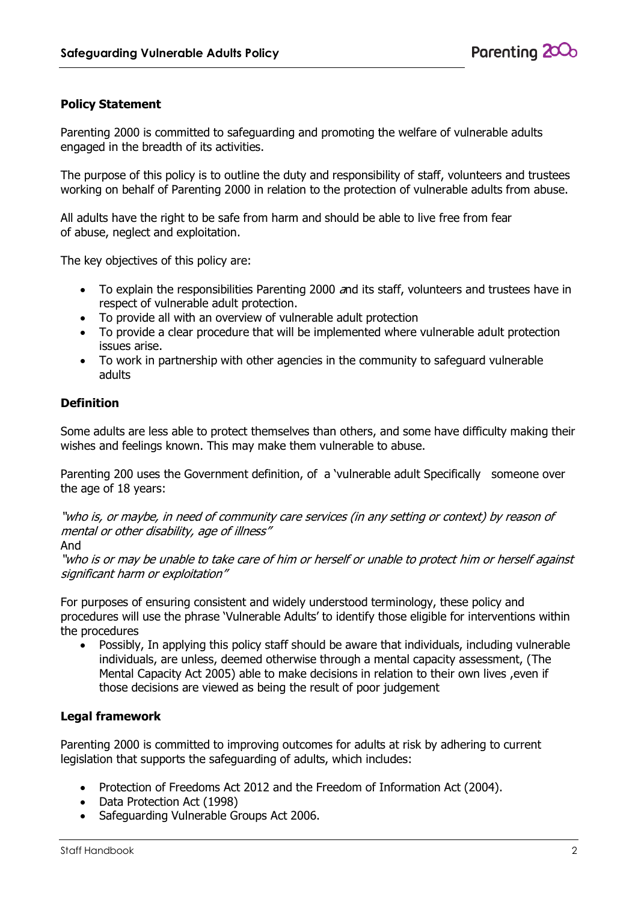# **Policy Statement**

Parenting 2000 is committed to safeguarding and promoting the welfare of vulnerable adults engaged in the breadth of its activities.

The purpose of this policy is to outline the duty and responsibility of staff, volunteers and trustees working on behalf of Parenting 2000 in relation to the protection of vulnerable adults from abuse.

All adults have the right to be safe from harm and should be able to live free from fear of abuse, neglect and exploitation.

The key objectives of this policy are:

- To explain the responsibilities Parenting 2000 and its staff, volunteers and trustees have in respect of vulnerable adult protection.
- To provide all with an overview of vulnerable adult protection
- To provide a clear procedure that will be implemented where vulnerable adult protection issues arise.
- To work in partnership with other agencies in the community to safeguard vulnerable adults

# **Definition**

Some adults are less able to protect themselves than others, and some have difficulty making their wishes and feelings known. This may make them vulnerable to abuse.

Parenting 200 uses the Government definition, of a 'vulnerable adult Specifically someone over the age of 18 years:

"who is, or maybe, in need of community care services (in any setting or context) by reason of mental or other disability, age of illness"

And

"who is or may be unable to take care of him or herself or unable to protect him or herself against significant harm or exploitation"

For purposes of ensuring consistent and widely understood terminology, these policy and procedures will use the phrase 'Vulnerable Adults' to identify those eligible for interventions within the procedures

 Possibly, In applying this policy staff should be aware that individuals, including vulnerable individuals, are unless, deemed otherwise through a mental capacity assessment, (The Mental Capacity Act 2005) able to make decisions in relation to their own lives ,even if those decisions are viewed as being the result of poor judgement

# **Legal framework**

Parenting 2000 is committed to improving outcomes for adults at risk by adhering to current legislation that supports the safeguarding of adults, which includes:

- Protection of Freedoms Act 2012 and the Freedom of Information Act (2004).
- Data Protection Act (1998)
- Safeguarding Vulnerable Groups Act 2006.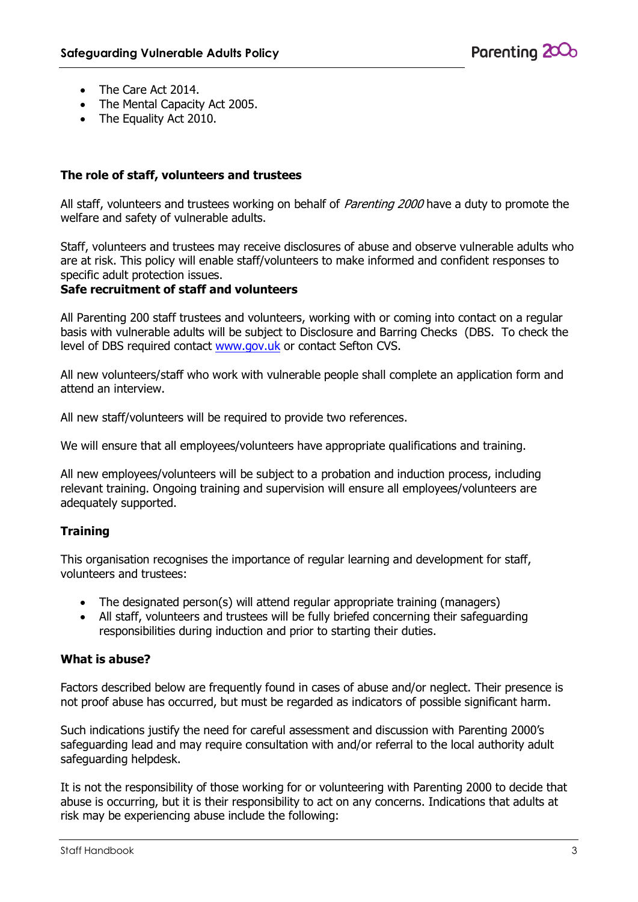- The Care Act 2014.
- The Mental Capacity Act 2005.
- The Equality Act 2010.

#### **The role of staff, volunteers and trustees**

All staff, volunteers and trustees working on behalf of *Parenting 2000* have a duty to promote the welfare and safety of vulnerable adults.

Staff, volunteers and trustees may receive disclosures of abuse and observe vulnerable adults who are at risk. This policy will enable staff/volunteers to make informed and confident responses to specific adult protection issues.

#### **Safe recruitment of staff and volunteers**

All Parenting 200 staff trustees and volunteers, working with or coming into contact on a regular basis with vulnerable adults will be subject to Disclosure and Barring Checks (DBS. To check the level of DBS required contact [www.gov.uk](http://www.gov.uk/) or contact Sefton CVS.

All new volunteers/staff who work with vulnerable people shall complete an application form and attend an interview.

All new staff/volunteers will be required to provide two references.

We will ensure that all employees/volunteers have appropriate qualifications and training.

All new employees/volunteers will be subject to a probation and induction process, including relevant training. Ongoing training and supervision will ensure all employees/volunteers are adequately supported.

# **Training**

This organisation recognises the importance of regular learning and development for staff, volunteers and trustees:

- The designated person(s) will attend regular appropriate training (managers)
- All staff, volunteers and trustees will be fully briefed concerning their safeguarding responsibilities during induction and prior to starting their duties.

#### **What is abuse?**

Factors described below are frequently found in cases of abuse and/or neglect. Their presence is not proof abuse has occurred, but must be regarded as indicators of possible significant harm.

Such indications justify the need for careful assessment and discussion with Parenting 2000's safeguarding lead and may require consultation with and/or referral to the local authority adult safeguarding helpdesk.

It is not the responsibility of those working for or volunteering with Parenting 2000 to decide that abuse is occurring, but it is their responsibility to act on any concerns. Indications that adults at risk may be experiencing abuse include the following: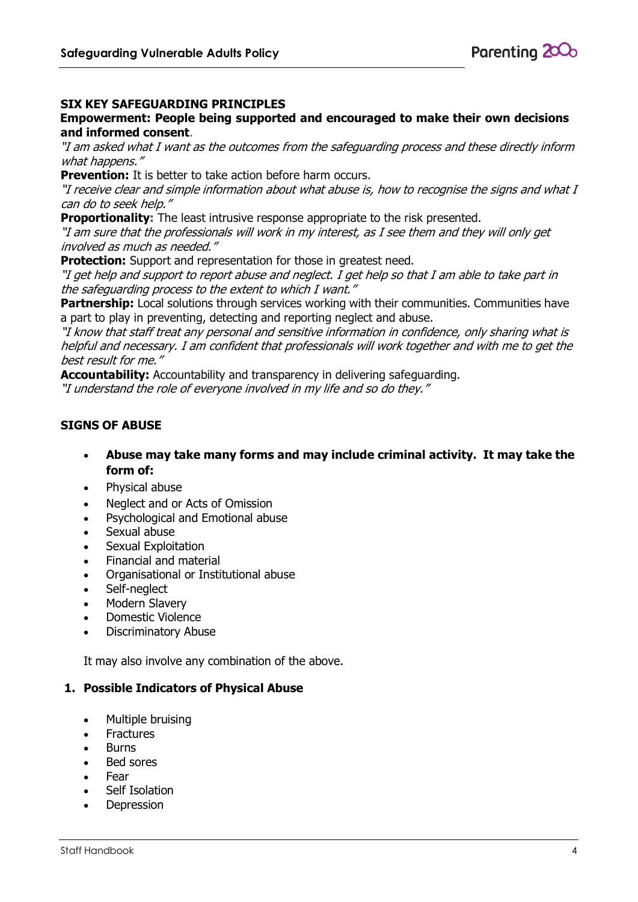# **SIX KEY SAFEGUARDING PRINCIPLES**

#### **Empowerment: People being supported and encouraged to make their own decisions and informed consent**.

"I am asked what I want as the outcomes from the safeguarding process and these directly inform what happens."

**Prevention:** It is better to take action before harm occurs.

"I receive clear and simple information about what abuse is, how to recognise the signs and what I can do to seek help."

**Proportionality:** The least intrusive response appropriate to the risk presented.

"I am sure that the professionals will work in my interest, as I see them and they will only get involved as much as needed."

**Protection:** Support and representation for those in greatest need.

"I get help and support to report abuse and neglect. I get help so that I am able to take part in the safeguarding process to the extent to which I want."

**Partnership:** Local solutions through services working with their communities. Communities have a part to play in preventing, detecting and reporting neglect and abuse.

"I know that staff treat any personal and sensitive information in confidence, only sharing what is helpful and necessary. I am confident that professionals will work together and with me to get the best result for me."

**Accountability:** Accountability and transparency in delivering safeguarding. "I understand the role of everyone involved in my life and so do they."

# **SIGNS OF ABUSE**

- **Abuse may take many forms and may include criminal activity. It may take the form of:**
- Physical abuse
- Neglect and or Acts of Omission
- Psychological and Emotional abuse
- Sexual abuse
- Sexual Exploitation
- Financial and material
- Organisational or Institutional abuse
- Self-neglect
- Modern Slavery
- Domestic Violence
- Discriminatory Abuse

It may also involve any combination of the above.

#### **1. Possible Indicators of Physical Abuse**

- Multiple bruising
- Fractures
- Burns
- Bed sores
- Fear
- Self Isolation
- Depression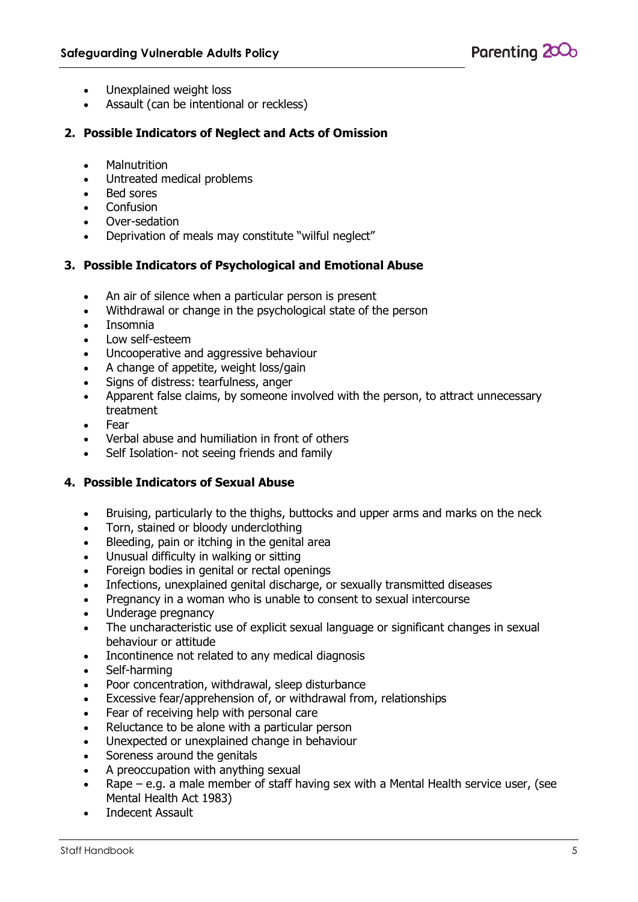

- Unexplained weight loss
- Assault (can be intentional or reckless)

#### **2. Possible Indicators of Neglect and Acts of Omission**

- **Malnutrition**
- Untreated medical problems
- Bed sores
- Confusion
- Over-sedation
- Deprivation of meals may constitute "wilful neglect"

#### **3. Possible Indicators of Psychological and Emotional Abuse**

- An air of silence when a particular person is present
- Withdrawal or change in the psychological state of the person
- Insomnia
- Low self-esteem
- Uncooperative and aggressive behaviour
- A change of appetite, weight loss/gain
- Sians of distress: tearfulness, anger
- Apparent false claims, by someone involved with the person, to attract unnecessary treatment
- Fear
- Verbal abuse and humiliation in front of others
- Self Isolation- not seeing friends and family

#### **4. Possible Indicators of Sexual Abuse**

- Bruising, particularly to the thighs, buttocks and upper arms and marks on the neck
- Torn, stained or bloody underclothing
- Bleeding, pain or itching in the genital area
- Unusual difficulty in walking or sitting
- Foreign bodies in genital or rectal openings
- Infections, unexplained genital discharge, or sexually transmitted diseases
- Pregnancy in a woman who is unable to consent to sexual intercourse
- Underage pregnancy
- The uncharacteristic use of explicit sexual language or significant changes in sexual behaviour or attitude
- Incontinence not related to any medical diagnosis
- Self-harming
- Poor concentration, withdrawal, sleep disturbance
- Excessive fear/apprehension of, or withdrawal from, relationships
- Fear of receiving help with personal care
- Reluctance to be alone with a particular person
- Unexpected or unexplained change in behaviour
- Soreness around the genitals
- A preoccupation with anything sexual
- Rape e.g. a male member of staff having sex with a Mental Health service user, (see Mental Health Act 1983)
- Indecent Assault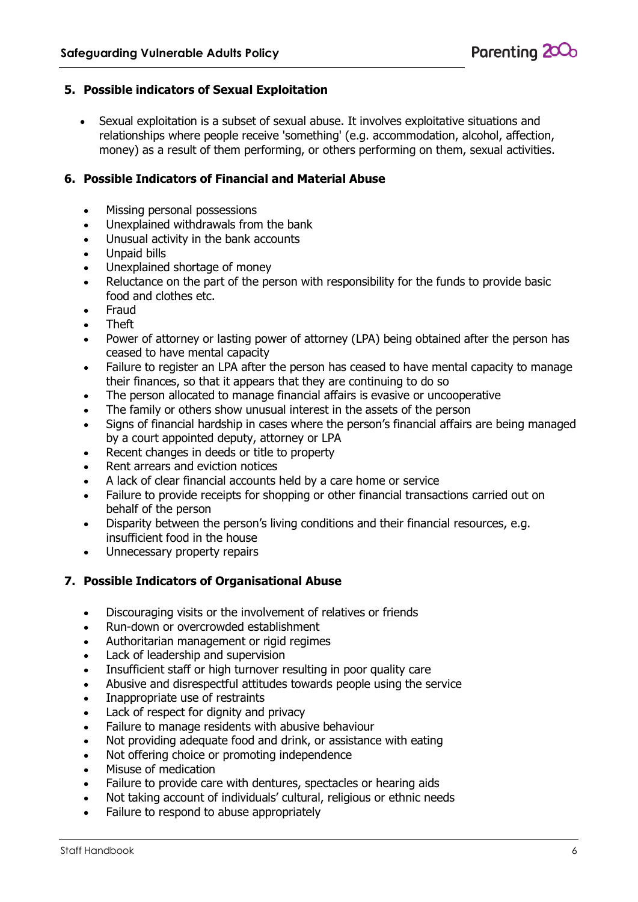#### **5. Possible indicators of Sexual Exploitation**

 Sexual exploitation is a subset of sexual abuse. It involves exploitative situations and relationships where people receive 'something' (e.g. accommodation, alcohol, affection, money) as a result of them performing, or others performing on them, sexual activities.

#### **6. Possible Indicators of Financial and Material Abuse**

- Missing personal possessions
- Unexplained withdrawals from the bank
- Unusual activity in the bank accounts
- Unpaid bills
- Unexplained shortage of money
- Reluctance on the part of the person with responsibility for the funds to provide basic food and clothes etc.
- Fraud
- Theft
- Power of attorney or lasting power of attorney (LPA) being obtained after the person has ceased to have mental capacity
- Failure to register an LPA after the person has ceased to have mental capacity to manage their finances, so that it appears that they are continuing to do so
- The person allocated to manage financial affairs is evasive or uncooperative
- The family or others show unusual interest in the assets of the person
- Signs of financial hardship in cases where the person's financial affairs are being managed by a court appointed deputy, attorney or LPA
- Recent changes in deeds or title to property
- Rent arrears and eviction notices
- A lack of clear financial accounts held by a care home or service
- Failure to provide receipts for shopping or other financial transactions carried out on behalf of the person
- Disparity between the person's living conditions and their financial resources, e.g. insufficient food in the house
- Unnecessary property repairs

#### **7. Possible Indicators of Organisational Abuse**

- Discouraging visits or the involvement of relatives or friends
- Run-down or overcrowded establishment
- Authoritarian management or rigid regimes
- Lack of leadership and supervision
- Insufficient staff or high turnover resulting in poor quality care
- Abusive and disrespectful attitudes towards people using the service
- Inappropriate use of restraints
- Lack of respect for dignity and privacy
- Failure to manage residents with abusive behaviour
- Not providing adequate food and drink, or assistance with eating
- Not offering choice or promoting independence
- Misuse of medication
- Failure to provide care with dentures, spectacles or hearing aids
- Not taking account of individuals' cultural, religious or ethnic needs
- Failure to respond to abuse appropriately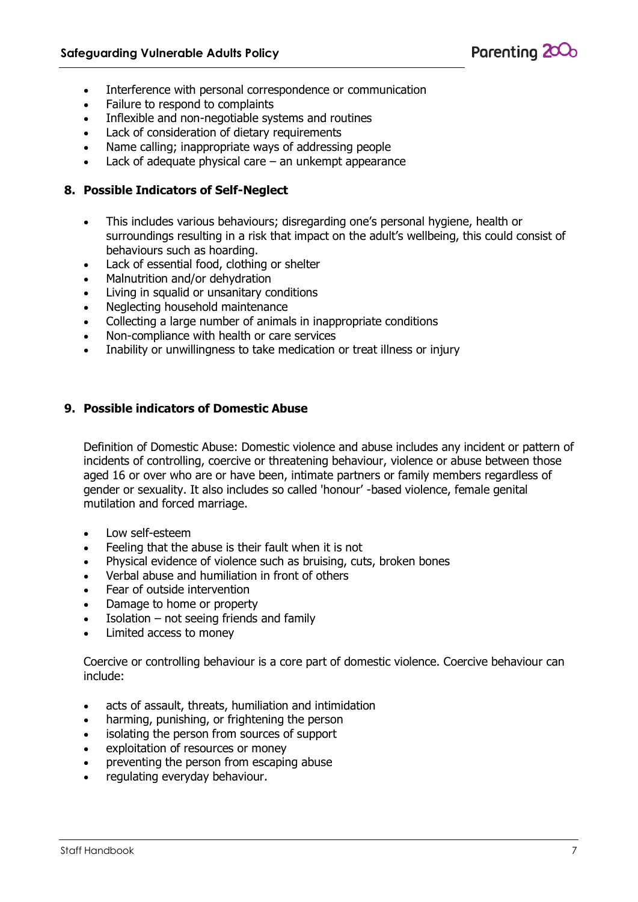

- Interference with personal correspondence or communication
- Failure to respond to complaints
- Inflexible and non-negotiable systems and routines
- Lack of consideration of dietary requirements
- Name calling; inappropriate ways of addressing people
- Lack of adequate physical care  $-$  an unkempt appearance

#### **8. Possible Indicators of Self-Neglect**

- This includes various behaviours; disregarding one's personal hygiene, health or surroundings resulting in a risk that impact on the adult's wellbeing, this could consist of behaviours such as hoarding.
- Lack of essential food, clothing or shelter
- Malnutrition and/or dehydration
- Living in squalid or unsanitary conditions
- Neglecting household maintenance
- Collecting a large number of animals in inappropriate conditions
- Non-compliance with health or care services
- Inability or unwillingness to take medication or treat illness or injury

#### **9. Possible indicators of Domestic Abuse**

Definition of Domestic Abuse: Domestic violence and abuse includes any incident or pattern of incidents of controlling, coercive or threatening behaviour, violence or abuse between those aged 16 or over who are or have been, intimate partners or family members regardless of gender or sexuality. It also includes so called 'honour' -based violence, female genital mutilation and forced marriage.

- Low self-esteem
- Feeling that the abuse is their fault when it is not
- Physical evidence of violence such as bruising, cuts, broken bones
- Verbal abuse and humiliation in front of others
- Fear of outside intervention
- Damage to home or property
- Isolation not seeing friends and family
- Limited access to money

Coercive or controlling behaviour is a core part of domestic violence. Coercive behaviour can include:

- acts of assault, threats, humiliation and intimidation
- harming, punishing, or frightening the person
- isolating the person from sources of support
- exploitation of resources or money
- preventing the person from escaping abuse
- regulating everyday behaviour.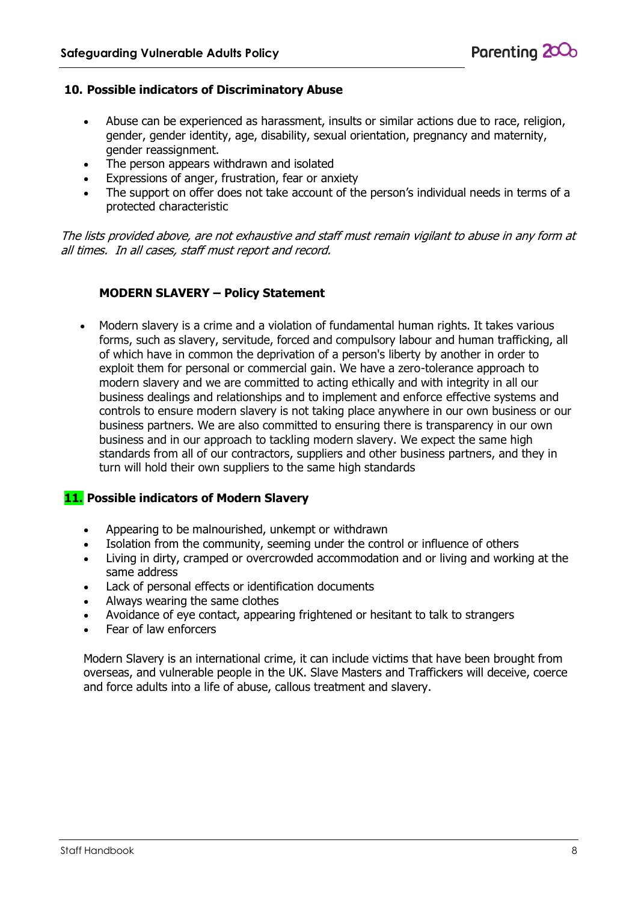#### **10. Possible indicators of Discriminatory Abuse**

- Abuse can be experienced as harassment, insults or similar actions due to race, religion, gender, gender identity, age, disability, sexual orientation, pregnancy and maternity, gender reassignment.
- The person appears withdrawn and isolated
- Expressions of anger, frustration, fear or anxiety
- The support on offer does not take account of the person's individual needs in terms of a protected characteristic

The lists provided above, are not exhaustive and staff must remain vigilant to abuse in any form at all times. In all cases, staff must report and record.

#### **MODERN SLAVERY – Policy Statement**

 Modern slavery is a crime and a violation of fundamental human rights. It takes various forms, such as slavery, servitude, forced and compulsory labour and human trafficking, all of which have in common the deprivation of a person's liberty by another in order to exploit them for personal or commercial gain. We have a zero-tolerance approach to modern slavery and we are committed to acting ethically and with integrity in all our business dealings and relationships and to implement and enforce effective systems and controls to ensure modern slavery is not taking place anywhere in our own business or our business partners. We are also committed to ensuring there is transparency in our own business and in our approach to tackling modern slavery. We expect the same high standards from all of our contractors, suppliers and other business partners, and they in turn will hold their own suppliers to the same high standards

#### **11. Possible indicators of Modern Slavery**

- Appearing to be malnourished, unkempt or withdrawn
- Isolation from the community, seeming under the control or influence of others
- Living in dirty, cramped or overcrowded accommodation and or living and working at the same address
- Lack of personal effects or identification documents
- Always wearing the same clothes
- Avoidance of eye contact, appearing frightened or hesitant to talk to strangers
- Fear of law enforcers

Modern Slavery is an international crime, it can include victims that have been brought from overseas, and vulnerable people in the UK. Slave Masters and Traffickers will deceive, coerce and force adults into a life of abuse, callous treatment and slavery.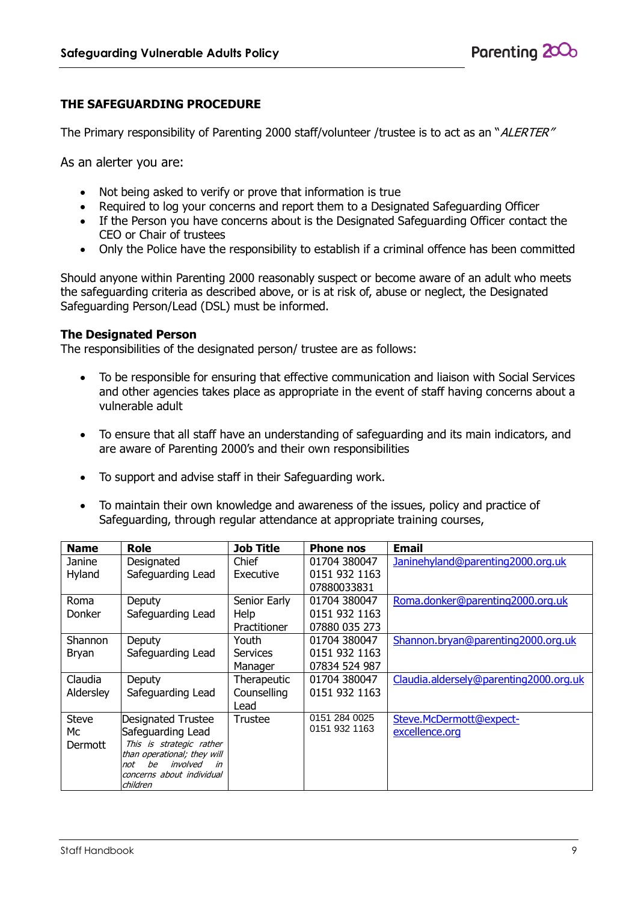# **THE SAFEGUARDING PROCEDURE**

The Primary responsibility of Parenting 2000 staff/volunteer /trustee is to act as an "ALERTER"

As an alerter you are:

- Not being asked to verify or prove that information is true
- Required to log your concerns and report them to a Designated Safeguarding Officer
- If the Person you have concerns about is the Designated Safeguarding Officer contact the CEO or Chair of trustees
- Only the Police have the responsibility to establish if a criminal offence has been committed

Should anyone within Parenting 2000 reasonably suspect or become aware of an adult who meets the safeguarding criteria as described above, or is at risk of, abuse or neglect, the Designated Safeguarding Person/Lead (DSL) must be informed.

#### **The Designated Person**

The responsibilities of the designated person/ trustee are as follows:

- To be responsible for ensuring that effective communication and liaison with Social Services and other agencies takes place as appropriate in the event of staff having concerns about a vulnerable adult
- To ensure that all staff have an understanding of safeguarding and its main indicators, and are aware of Parenting 2000's and their own responsibilities
- To support and advise staff in their Safeguarding work.
- To maintain their own knowledge and awareness of the issues, policy and practice of Safeguarding, through regular attendance at appropriate training courses,

| <b>Name</b>   | Role                                                       | <b>Job Title</b>    | <b>Phone nos</b> | <b>Email</b>                           |
|---------------|------------------------------------------------------------|---------------------|------------------|----------------------------------------|
| Janine        | Designated                                                 | Chief               | 01704 380047     | Janinehyland@parenting2000.org.uk      |
| Hyland        | Safeguarding Lead                                          | Executive           | 0151 932 1163    |                                        |
|               |                                                            |                     | 07880033831      |                                        |
| Roma          | Deputy                                                     | Senior Early        | 01704 380047     | Roma.donker@parenting2000.org.uk       |
| <b>Donker</b> | Safeguarding Lead                                          | Help                | 0151 932 1163    |                                        |
|               |                                                            | <b>Practitioner</b> | 07880 035 273    |                                        |
| Shannon       | Deputy                                                     | Youth               | 01704 380047     | Shannon.bryan@parenting2000.org.uk     |
| Bryan         | Safeguarding Lead                                          | <b>Services</b>     | 0151 932 1163    |                                        |
|               |                                                            | Manager             | 07834 524 987    |                                        |
| Claudia       | Deputy                                                     | Therapeutic         | 01704 380047     | Claudia.aldersely@parenting2000.org.uk |
| Aldersley     | Safeguarding Lead                                          | Counselling         | 0151 932 1163    |                                        |
|               |                                                            | Lead                |                  |                                        |
| <b>Steve</b>  | Designated Trustee                                         | Trustee             | 0151 284 0025    | Steve.McDermott@expect-                |
| Мc            | Safeguarding Lead                                          |                     | 0151 932 1163    | excellence.org                         |
| Dermott       | This is strategic rather                                   |                     |                  |                                        |
|               | than operational; they will<br>involved<br>be<br>not<br>in |                     |                  |                                        |
|               | concerns about individual                                  |                     |                  |                                        |
|               | children                                                   |                     |                  |                                        |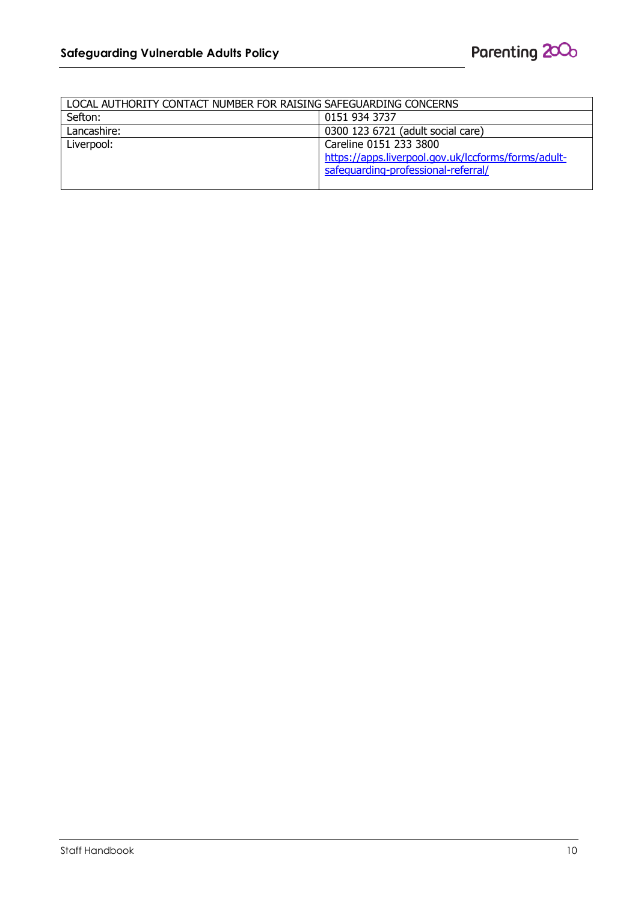| LOCAL AUTHORITY CONTACT NUMBER FOR RAISING SAFEGUARDING CONCERNS |                                                     |  |  |  |
|------------------------------------------------------------------|-----------------------------------------------------|--|--|--|
| Sefton:                                                          | 0151 934 3737                                       |  |  |  |
| Lancashire:                                                      | 0300 123 6721 (adult social care)                   |  |  |  |
| Liverpool:                                                       | Careline 0151 233 3800                              |  |  |  |
|                                                                  | https://apps.liverpool.gov.uk/lccforms/forms/adult- |  |  |  |
|                                                                  | safequarding-professional-referral/                 |  |  |  |
|                                                                  |                                                     |  |  |  |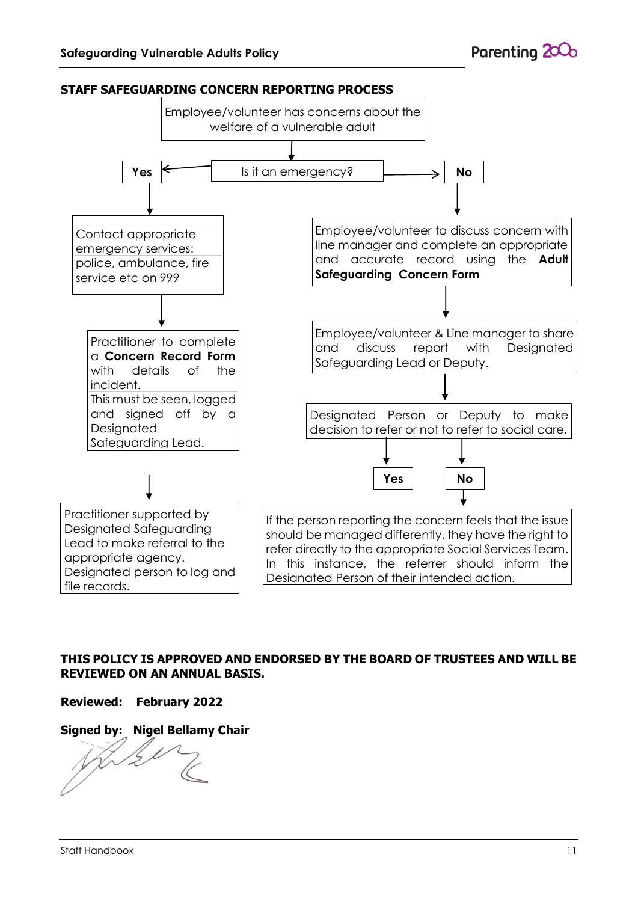

# **THIS POLICY IS APPROVED AND ENDORSED BY THE BOARD OF TRUSTEES AND WILL BE REVIEWED ON AN ANNUAL BASIS.**

# **Reviewed: February 2022**

# **Signed by: Nigel Bellamy Chair**